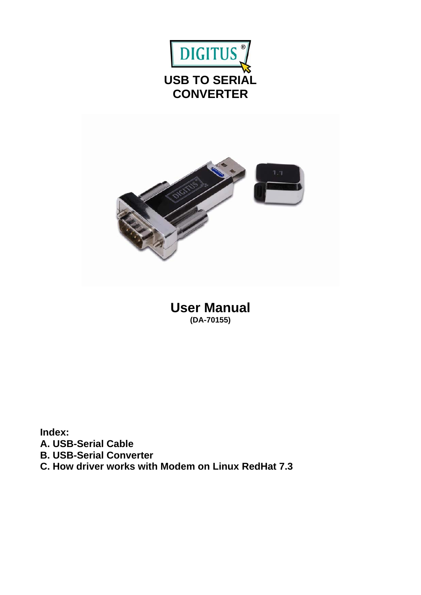



**User Manual (DA-70155)** 

**Index: A. USB-Serial Cable B. USB-Serial Converter C. How driver works with Modem on Linux RedHat 7.3**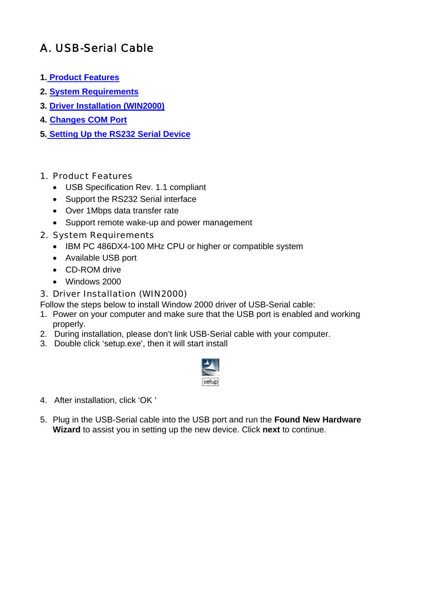# A. USB-Serial Cable

- **1. Product Features**
- **2. System Requirements**
- **3. Driver Installation (WIN2000)**
- **4. Changes COM Port**
- **5. Setting Up the RS232 Serial Device**

### 1. Product Features

- USB Specification Rev. 1.1 compliant
- Support the RS232 Serial interface
- Over 1Mbps data transfer rate
- Support remote wake-up and power management

### 2. System Requirements

- IBM PC 486DX4-100 MHz CPU or higher or compatible system
- Available USB port
- CD-ROM drive
- Windows 2000

### 3. Driver Installation (WIN2000)

Follow the steps below to install Window 2000 driver of USB-Serial cable:

- 1. Power on your computer and make sure that the USB port is enabled and working properly.
- 2. During installation, please don't link USB-Serial cable with your computer.
- 3. Double click 'setup.exe', then it will start install



- 4. After installation, click 'OK '
- 5. Plug in the USB-Serial cable into the USB port and run the **Found New Hardware Wizard** to assist you in setting up the new device. Click **next** to continue.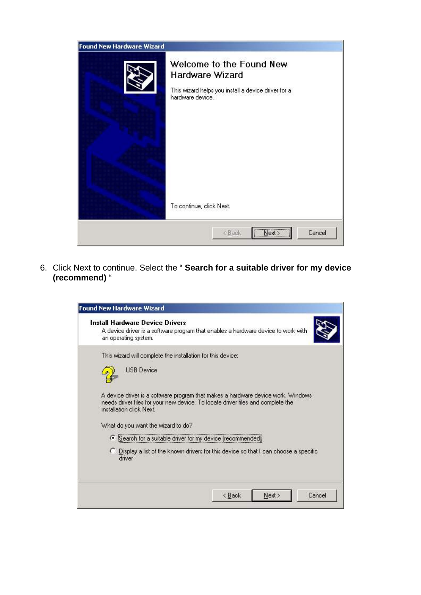| <b>Found New Hardware Wizard</b> |                                                                                                                                                    |
|----------------------------------|----------------------------------------------------------------------------------------------------------------------------------------------------|
|                                  | Welcome to the Found New<br>Hardware Wizard<br>This wizard helps you install a device driver for a<br>hardware device.<br>To continue, click Next. |
|                                  | Cancel<br>< Back<br>Next >                                                                                                                         |

6. Click Next to continue. Select the " **Search for a suitable driver for my device (recommend)** "

| <b>Found New Hardware Wizard</b>                                                                                                                                                                                                     |
|--------------------------------------------------------------------------------------------------------------------------------------------------------------------------------------------------------------------------------------|
| <b>Install Hardware Device Drivers</b><br>A device driver is a software program that enables a hardware device to work with<br>an operating system.                                                                                  |
| This wizard will complete the installation for this device:<br><b>USB Device</b>                                                                                                                                                     |
| A device driver is a software program that makes a hardware device work. Windows<br>needs driver files for your new device. To locate driver files and complete the<br>installation click Next<br>What do you want the wizard to do? |
| C Search for a suitable driver for my device (recommended)                                                                                                                                                                           |
| C Display a list of the known drivers for this device so that I can choose a specific<br>driver                                                                                                                                      |
| Next ><br>Cancel<br>< Back                                                                                                                                                                                                           |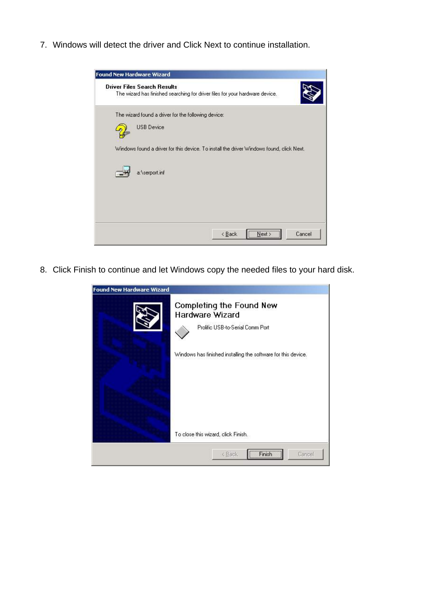7. Windows will detect the driver and Click Next to continue installation.

| <b>Found New Hardware Wizard</b>                                                                                   |
|--------------------------------------------------------------------------------------------------------------------|
| <b>Driver Files Search Results</b><br>The wizard has finished searching for driver files for your hardware device. |
| The wizard found a driver for the following device:                                                                |
| <b>USB Device</b>                                                                                                  |
| Windows found a driver for this device. To install the driver Windows found, click Next.                           |
| a:\serport.inf                                                                                                     |
|                                                                                                                    |
| Next<br>Cancel<br>< Back                                                                                           |

8. Click Finish to continue and let Windows copy the needed files to your hard disk.

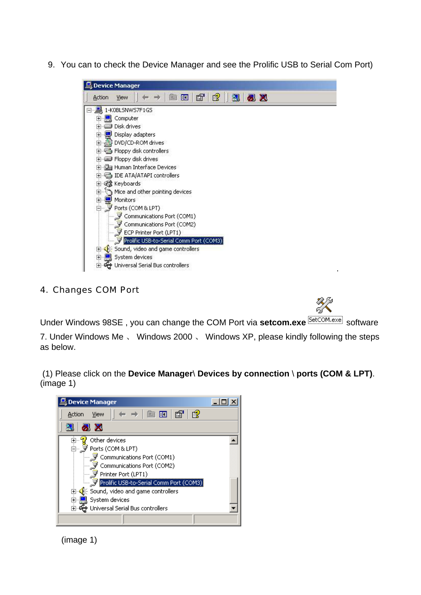9. You can to check the Device Manager and see the Prolific USB to Serial Com Port)



#### 4. Changes COM Port

Under Windows 98SE, you can change the COM Port via setcom.exe **SetCOM.exe** software 7. Under Windows Me 、 Windows 2000 、 Windows XP, please kindly following the steps as below.

 (1) Please click on the **Device Manager**\ **Devices by connection** \ **ports (COM & LPT)**. (image 1)



(image 1)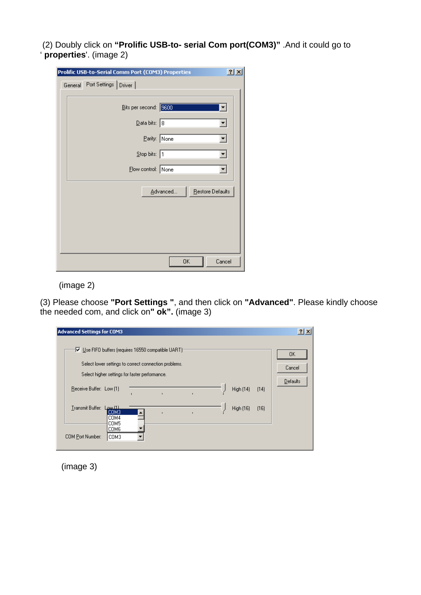(2) Doubly click on **"Prolific USB-to- serial Com port(COM3)"** .And it could go to ' **properties**'. (image 2)

|         | 2x<br>Prolific USB-to-Serial Comm Port (COM3) Properties |  |
|---------|----------------------------------------------------------|--|
| General | Port Settings   Driver                                   |  |
|         |                                                          |  |
|         | Bits per second: 9600                                    |  |
|         | Data bits: 8                                             |  |
|         | Parity: None<br>▾╎                                       |  |
|         | $Stop \text{ bits: } 1$<br>▾╎                            |  |
|         | Flow control: None<br>$\blacktriangledown$               |  |
|         | Advanced<br>Restore Defaults                             |  |
|         |                                                          |  |
|         |                                                          |  |
|         |                                                          |  |
|         |                                                          |  |
|         | Cancel<br>OK                                             |  |

(image 2)

(3) Please choose **"Port Settings "**, and then click on **"Advanced"**. Please kindly choose the needed com, and click on**" ok".** (image 3)

| <b>Advanced Settings for COM3</b>                                                                                                                            | 2 X          |
|--------------------------------------------------------------------------------------------------------------------------------------------------------------|--------------|
| Use FIFO buffers (requires 16550 compatible UART)<br>Select lower settings to correct connection problems.<br>Select higher settings for faster performance. | 0K<br>Cancel |
| Receive Buffer: Low [1]<br><b>High (14)</b><br>[14]<br>$\blacksquare$                                                                                        | Defaults     |
| Transmit Buffer:<br><u> 11) سم ا</u><br>High (16)<br>[16]<br> СОМЗ<br>COM4<br>COM5                                                                           |              |
| COM6<br>COM Port Number:<br> СОМЗ                                                                                                                            |              |

(image 3)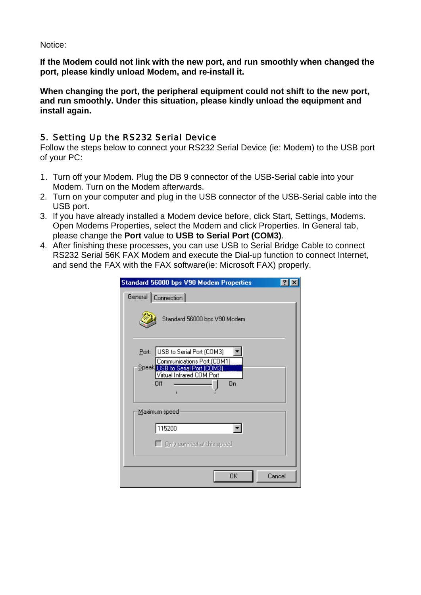Notice:

**If the Modem could not link with the new port, and run smoothly when changed the port, please kindly unload Modem, and re-install it.** 

**When changing the port, the peripheral equipment could not shift to the new port, and run smoothly. Under this situation, please kindly unload the equipment and install again.**

### 5. Setting Up the RS232 Serial Device

Follow the steps below to connect your RS232 Serial Device (ie: Modem) to the USB port of your PC:

- 1. Turn off your Modem. Plug the DB 9 connector of the USB-Serial cable into your Modem. Turn on the Modem afterwards.
- 2. Turn on your computer and plug in the USB connector of the USB-Serial cable into the USB port.
- 3. If you have already installed a Modem device before, click Start, Settings, Modems. Open Modems Properties, select the Modem and click Properties. In General tab, please change the **Port** value to **USB to Serial Port (COM3)**.
- 4. After finishing these processes, you can use USB to Serial Bridge Cable to connect RS232 Serial 56K FAX Modem and execute the Dial-up function to connect Internet, and send the FAX with the FAX software(ie: Microsoft FAX) properly.

| <b>Standard 56000 bps V90 Modem Properties</b>                                                                                                |        |
|-----------------------------------------------------------------------------------------------------------------------------------------------|--------|
| General Connection                                                                                                                            |        |
| Standard 56000 bps V90 Modem                                                                                                                  |        |
| USB to Serial Port (COM3)<br>Port:<br>Communications Port (COM1)<br>Speak USB to Serial Port (COMS)<br>Virtual Infrared COM Port<br>On<br>Ωff |        |
| Maximum speed                                                                                                                                 |        |
| 115200                                                                                                                                        |        |
| $\Box$ Only connect at this speed                                                                                                             |        |
| OΚ                                                                                                                                            | Cancel |
|                                                                                                                                               |        |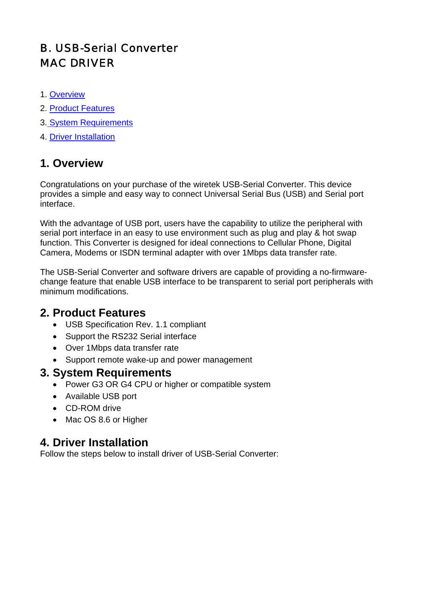# B. USB-Serial Converter MAC DRIVER

- 1. Overview
- 2. Product Features
- 3. System Requirements
- 4. Driver Installation

## **1. Overview**

Congratulations on your purchase of the wiretek USB-Serial Converter. This device provides a simple and easy way to connect Universal Serial Bus (USB) and Serial port interface.

With the advantage of USB port, users have the capability to utilize the peripheral with serial port interface in an easy to use environment such as plug and play & hot swap function. This Converter is designed for ideal connections to Cellular Phone, Digital Camera, Modems or ISDN terminal adapter with over 1Mbps data transfer rate.

The USB-Serial Converter and software drivers are capable of providing a no-firmwarechange feature that enable USB interface to be transparent to serial port peripherals with minimum modifications.

## **2. Product Features**

- USB Specification Rev. 1.1 compliant
- Support the RS232 Serial interface
- Over 1Mbps data transfer rate
- Support remote wake-up and power management

## **3. System Requirements**

- Power G3 OR G4 CPU or higher or compatible system
- Available USB port
- CD-ROM drive
- Mac OS 8.6 or Higher

# **4. Driver Installation**

Follow the steps below to install driver of USB-Serial Converter: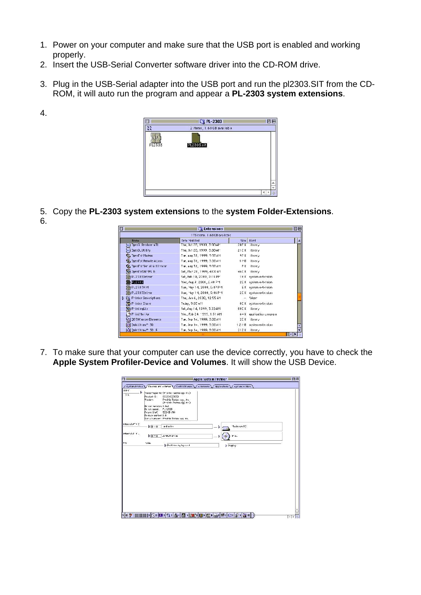- 1. Power on your computer and make sure that the USB port is enabled and working properly.
- 2. Insert the USB-Serial Converter software driver into the CD-ROM drive.
- 3. Plug in the USB-Serial adapter into the USB port and run the pl2303.SIT from the CD-ROM, it will auto run the program and appear a **PL-2303 system extensions**.



- 5. Copy the **PL-2303 system extensions** to the **system Folder-Extensions**.
- 6.

4.

|                                       | 173 items, 1.68 CB evailable. |        |                          |   |
|---------------------------------------|-------------------------------|--------|--------------------------|---|
| <b>Name</b>                           | Date Modified                 | Size   | Kird                     | ă |
| <b>WL) Then Renderer 4TL</b>          | Thu, 0ct 28, 1999, 3:00 AM    | 205K   | -ihrary                  |   |
| 04 Jpen3_Utility                      | Thu, 0xt 20, 1999 3.00 AM     |        | 21CK ibrery              |   |
| <b>IS ThenTht Modem</b>               | Tre, and 31, 1999, 3:00 AM    | 92 K   | ihrary                   |   |
| <b>Tax DeenFot Remote Access</b>      | Tue, aug 31, 1999, 3.00 AM    | $1$ MD | ibrery                   |   |
| <b>Ta, Insellat Sec al Antitrator</b> | Tre, and 31, 1999, 3:00 AM    | ۶K     | ihrary                   |   |
| DenTotONMPL b                         | Sat., Mar. 20, 1999, 4 CO AM  |        | 46CK ibrery              |   |
| P_2301Driver                          | Sat, Feb 19, 2000, 2:15 PM    |        | 16 K system extersion    |   |
| P.2303                                | Wec. Aug 9 2000, 2.40 PM      |        | 2CK system extersion     |   |
| DB P.230741M                          | Sun, May 14, 2000, 9:47 PM    |        | E K system extersion     |   |
| P.2307Driver                          | 3uit, "fay 14, 2000, 9:46 PM. |        | 2CK system extersion     |   |
| Printer Descriptions                  | Thu, Jan 6, 2000, 12 55 AM    |        | folcer                   |   |
| Printer Stare                         | TuJav. 9:03 at1               |        | 8CK system extersion     |   |
| PrintingLip                           | Sat, Aug 14, 1999, 3:33 AM    | 88C K  | ibrary                   |   |
| Printflurilur                         | Wed, Feb 24, 1999, 1:31 AM    |        | 64 K application program |   |
| 뮤니 DD 3DC ustom Elements              | Tue, Sep 14, 1999, 3:00 AM    | 2C K   | ibrary                   |   |
| Q QuickDraw <sup>n</sup> 3D           | Tue, Sep 14, 1999, 3:00 AM    |        | 1.2 MB system extersion  |   |
| <b>Q</b> QuickDraw™ 3D F              | Tue, Sep 14, 1999, 3:00 AM    |        | 212K ibrary              |   |

7. To make sure that your computer can use the device correctly, you have to check the **Apple System Profiler-Device and Volumes**. It will show the USB Device.

|                |                            | / System Profile \/ Devices and volumes \/ Control Panals<br>/ avtersions | <b>Applications / Eystem Folders</b> |  |
|----------------|----------------------------|---------------------------------------------------------------------------|--------------------------------------|--|
| <b>USE C</b>   |                            |                                                                           |                                      |  |
| 56.            | ь                          | Mendomspecific (Prolific Technology Inc.)                                 |                                      |  |
|                | Product D:                 | 0063 (02303)                                                              |                                      |  |
|                | Nendor:                    | Prolific Technology, Inc.<br>(Prolific Technology Inc.)                   |                                      |  |
|                | Driver varsion: 1.0a1      |                                                                           |                                      |  |
|                | Dr. ver. папле. Р. - 2306. |                                                                           |                                      |  |
|                | Power (mA)                 | 50(6:6)                                                                   |                                      |  |
|                | Release number: LO         | Ser al number: Prolific Technology no.                                    |                                      |  |
|                |                            |                                                                           |                                      |  |
| Internal ATA Z |                            |                                                                           |                                      |  |
|                | $\triangleright$ ID - 0    | ard crive                                                                 | Madintesh IID<br>ь                   |  |
| internal A A . |                            |                                                                           |                                      |  |
|                | $D$ ID = 0                 | LU-MLP1 drive                                                             | IMA.                                 |  |
|                |                            |                                                                           |                                      |  |
| PCL            | Vili                       | <b>School Section</b> by the case of                                      |                                      |  |
|                |                            |                                                                           | > Display                            |  |
|                |                            |                                                                           |                                      |  |
|                |                            |                                                                           |                                      |  |
|                |                            |                                                                           |                                      |  |
|                |                            |                                                                           |                                      |  |
|                |                            |                                                                           |                                      |  |
|                |                            |                                                                           |                                      |  |
|                |                            |                                                                           |                                      |  |
|                |                            |                                                                           |                                      |  |
|                |                            |                                                                           |                                      |  |
|                |                            |                                                                           |                                      |  |
|                |                            |                                                                           |                                      |  |
|                |                            |                                                                           |                                      |  |
|                |                            |                                                                           |                                      |  |
|                |                            |                                                                           |                                      |  |
|                |                            |                                                                           |                                      |  |
|                |                            |                                                                           |                                      |  |
|                |                            |                                                                           |                                      |  |
|                |                            |                                                                           |                                      |  |
|                |                            |                                                                           |                                      |  |